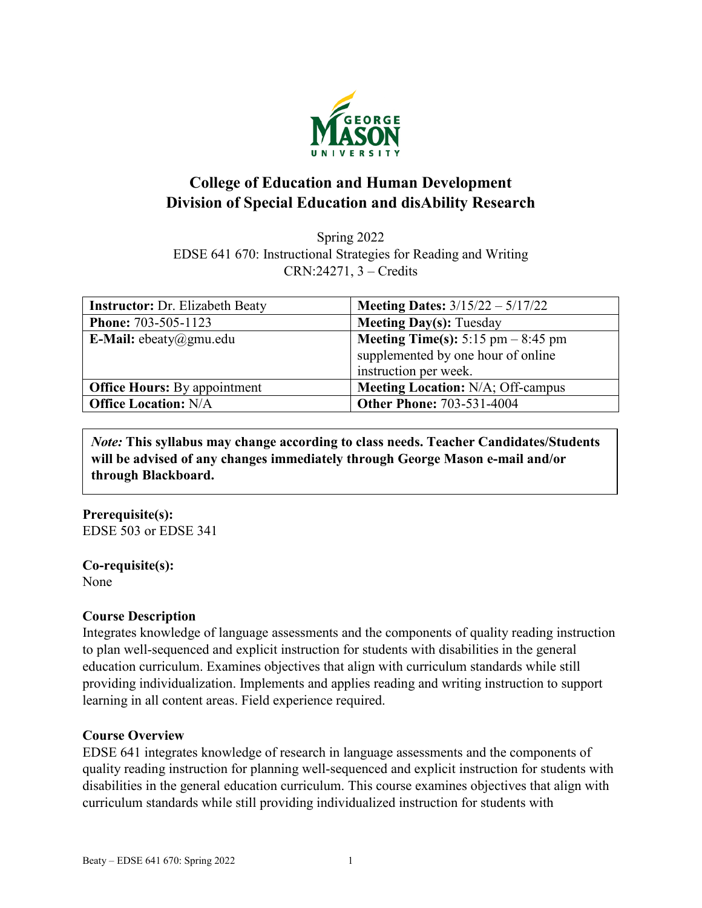

# **College of Education and Human Development Division of Special Education and disAbility Research**

Spring 2022 EDSE 641 670: Instructional Strategies for Reading and Writing CRN:24271, 3 – Credits

| <b>Instructor: Dr. Elizabeth Beaty</b> | <b>Meeting Dates:</b> $3/15/22 - 5/17/22$                                                                  |
|----------------------------------------|------------------------------------------------------------------------------------------------------------|
| <b>Phone: 703-505-1123</b>             | <b>Meeting Day(s): Tuesday</b>                                                                             |
| E-Mail: ebeaty@gmu.edu                 | <b>Meeting Time(s):</b> 5:15 pm $-$ 8:45 pm<br>supplemented by one hour of online<br>instruction per week. |
| <b>Office Hours:</b> By appointment    | <b>Meeting Location: N/A; Off-campus</b>                                                                   |
| <b>Office Location: N/A</b>            | <b>Other Phone: 703-531-4004</b>                                                                           |

*Note:* **This syllabus may change according to class needs. Teacher Candidates/Students will be advised of any changes immediately through George Mason e-mail and/or through Blackboard.**

**Prerequisite(s):** EDSE 503 or EDSE 341

**Co-requisite(s):** None

#### **Course Description**

Integrates knowledge of language assessments and the components of quality reading instruction to plan well-sequenced and explicit instruction for students with disabilities in the general education curriculum. Examines objectives that align with curriculum standards while still providing individualization. Implements and applies reading and writing instruction to support learning in all content areas. Field experience required.

## **Course Overview**

EDSE 641 integrates knowledge of research in language assessments and the components of quality reading instruction for planning well-sequenced and explicit instruction for students with disabilities in the general education curriculum. This course examines objectives that align with curriculum standards while still providing individualized instruction for students with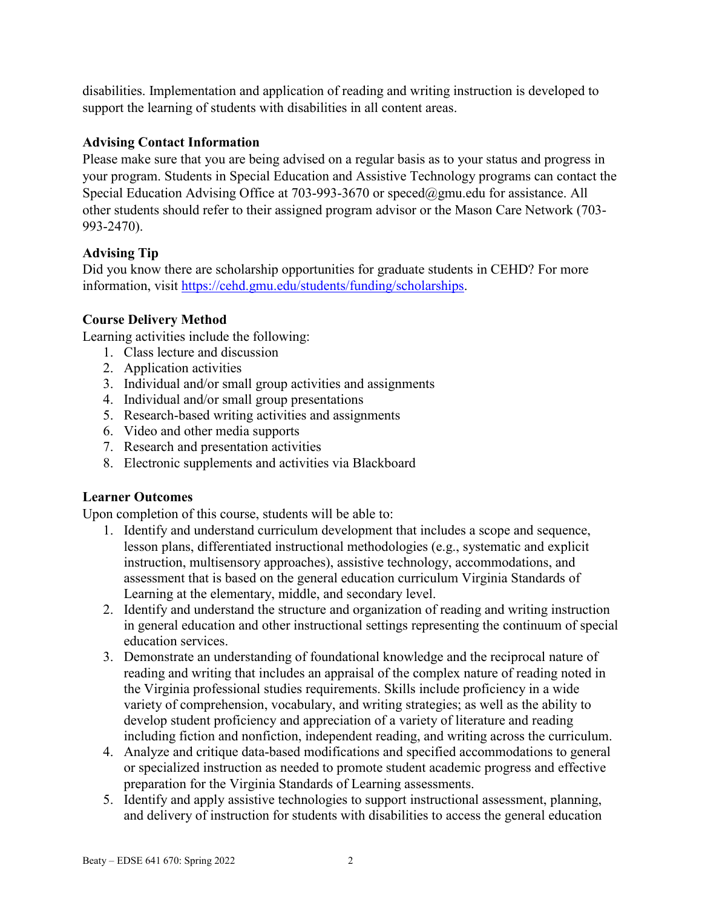disabilities. Implementation and application of reading and writing instruction is developed to support the learning of students with disabilities in all content areas.

## **Advising Contact Information**

Please make sure that you are being advised on a regular basis as to your status and progress in your program. Students in Special Education and Assistive Technology programs can contact the Special Education Advising Office at 703-993-3670 or [speced@gmu.edu](mailto:speced@gmu.edu) for assistance. All other students should refer to their assigned program advisor or the Mason Care Network (703- 993-2470).

## **Advising Tip**

Did you know there are scholarship opportunities for graduate students in CEHD? For more information, visit [https://cehd.gmu.edu/students/funding/scholarships.](https://cehd.gmu.edu/students/funding/scholarships)

## **Course Delivery Method**

Learning activities include the following:

- 1. Class lecture and discussion
- 2. Application activities
- 3. Individual and/or small group activities and assignments
- 4. Individual and/or small group presentations
- 5. Research-based writing activities and assignments
- 6. Video and other media supports
- 7. Research and presentation activities
- 8. Electronic supplements and activities via Blackboard

## **Learner Outcomes**

Upon completion of this course, students will be able to:

- 1. Identify and understand curriculum development that includes a scope and sequence, lesson plans, differentiated instructional methodologies (e.g., systematic and explicit instruction, multisensory approaches), assistive technology, accommodations, and assessment that is based on the general education curriculum Virginia Standards of Learning at the elementary, middle, and secondary level.
- 2. Identify and understand the structure and organization of reading and writing instruction in general education and other instructional settings representing the continuum of special education services.
- 3. Demonstrate an understanding of foundational knowledge and the reciprocal nature of reading and writing that includes an appraisal of the complex nature of reading noted in the Virginia professional studies requirements. Skills include proficiency in a wide variety of comprehension, vocabulary, and writing strategies; as well as the ability to develop student proficiency and appreciation of a variety of literature and reading including fiction and nonfiction, independent reading, and writing across the curriculum.
- 4. Analyze and critique data-based modifications and specified accommodations to general or specialized instruction as needed to promote student academic progress and effective preparation for the Virginia Standards of Learning assessments.
- 5. Identify and apply assistive technologies to support instructional assessment, planning, and delivery of instruction for students with disabilities to access the general education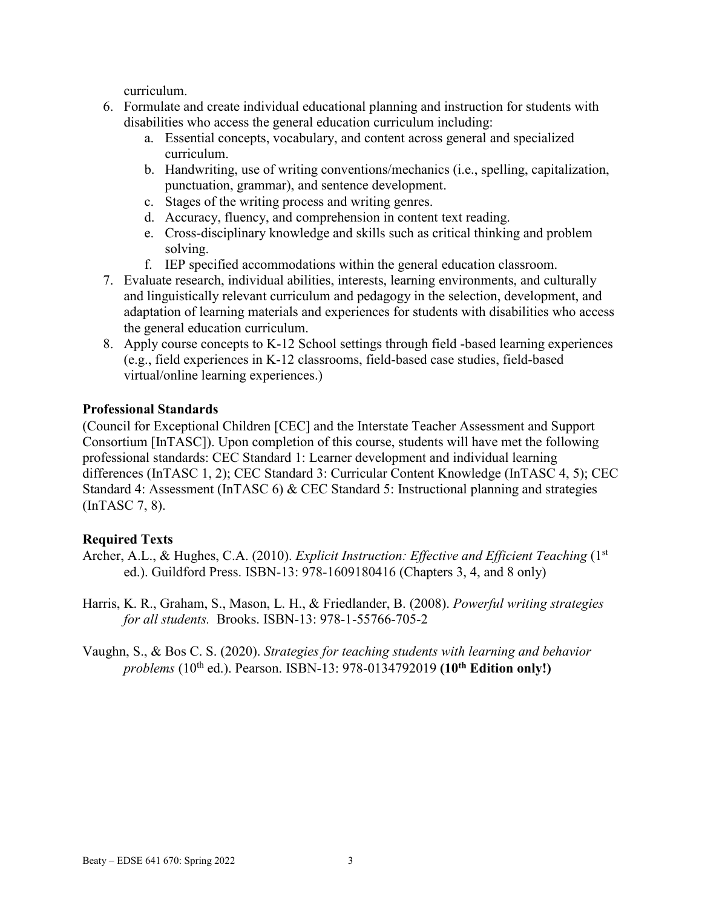curriculum.

- 6. Formulate and create individual educational planning and instruction for students with disabilities who access the general education curriculum including:
	- a. Essential concepts, vocabulary, and content across general and specialized curriculum.
	- b. Handwriting, use of writing conventions/mechanics (i.e., spelling, capitalization, punctuation, grammar), and sentence development.
	- c. Stages of the writing process and writing genres.
	- d. Accuracy, fluency, and comprehension in content text reading.
	- e. Cross-disciplinary knowledge and skills such as critical thinking and problem solving.
	- f. IEP specified accommodations within the general education classroom.
- 7. Evaluate research, individual abilities, interests, learning environments, and culturally and linguistically relevant curriculum and pedagogy in the selection, development, and adaptation of learning materials and experiences for students with disabilities who access the general education curriculum.
- 8. Apply course concepts to K-12 School settings through field -based learning experiences (e.g., field experiences in K-12 classrooms, field-based case studies, field-based virtual/online learning experiences.)

## **Professional Standards**

(Council for Exceptional Children [CEC] and the Interstate Teacher Assessment and Support Consortium [InTASC]). Upon completion of this course, students will have met the following professional standards: CEC Standard 1: Learner development and individual learning differences (InTASC 1, 2); CEC Standard 3: Curricular Content Knowledge (InTASC 4, 5); CEC Standard 4: Assessment (InTASC 6) & CEC Standard 5: Instructional planning and strategies (InTASC 7, 8).

## **Required Texts**

- Archer, A.L., & Hughes, C.A. (2010). *Explicit Instruction: Effective and Efficient Teaching* (1<sup>st</sup>) ed.). Guildford Press. ISBN-13: 978-1609180416 (Chapters 3, 4, and 8 only)
- Harris, K. R., Graham, S., Mason, L. H., & Friedlander, B. (2008). *Powerful writing strategies for all students.* Brooks. ISBN-13: 978-1-55766-705-2

Vaughn, S., & Bos C. S. (2020). *Strategies for teaching students with learning and behavior problems* (10th ed.). Pearson. ISBN-13: 978-0134792019 **(10th Edition only!)**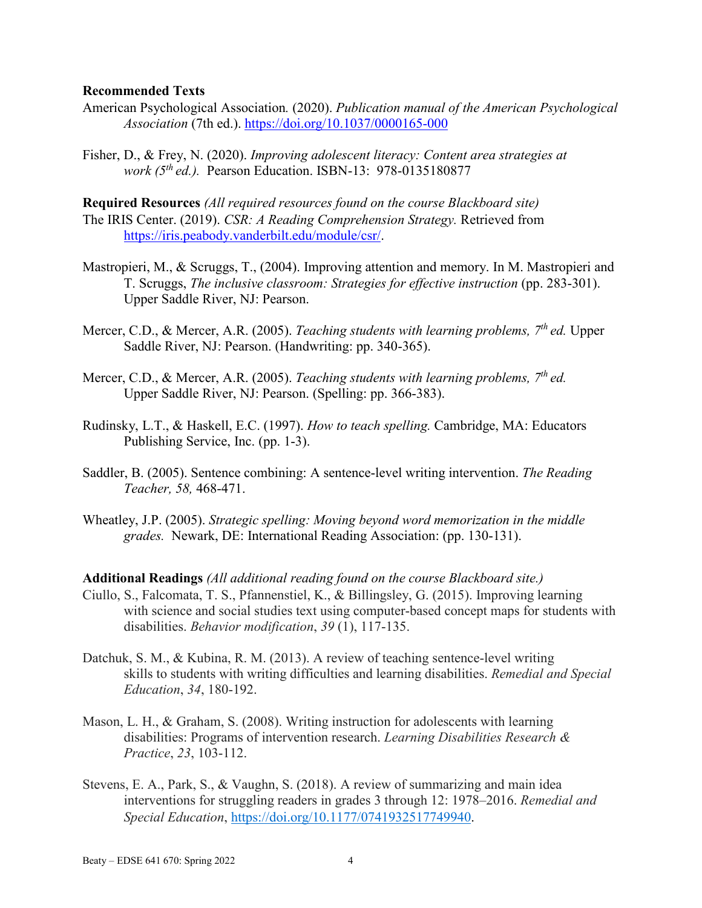#### **Recommended Texts**

- American Psychological Association*.* (2020). *Publication manual of the American Psychological Association* (7th ed.). <https://doi.org/10.1037/0000165-000>
- Fisher, D., & Frey, N. (2020). *Improving adolescent literacy: Content area strategies at work (5<sup>th</sup> ed.).* Pearson Education. ISBN-13: 978-0135180877

**Required Resources** *(All required resources found on the course Blackboard site)* The IRIS Center. (2019). *CSR: A Reading Comprehension Strategy.* Retrieved from [https://iris.peabody.vanderbilt.edu/module/csr/.](https://iris.peabody.vanderbilt.edu/module/csr/)

- Mastropieri, M., & Scruggs, T., (2004). Improving attention and memory. In M. Mastropieri and T. Scruggs, *The inclusive classroom: Strategies for effective instruction* (pp. 283-301). Upper Saddle River, NJ: Pearson.
- Mercer, C.D., & Mercer, A.R. (2005). *Teaching students with learning problems, 7th ed.* Upper Saddle River, NJ: Pearson. (Handwriting: pp. 340-365).
- Mercer, C.D., & Mercer, A.R. (2005). *Teaching students with learning problems, 7th ed.*  Upper Saddle River, NJ: Pearson. (Spelling: pp. 366-383).
- Rudinsky, L.T., & Haskell, E.C. (1997). *How to teach spelling.* Cambridge, MA: Educators Publishing Service, Inc. (pp. 1-3).
- Saddler, B. (2005). Sentence combining: A sentence-level writing intervention. *The Reading Teacher, 58,* 468-471.
- Wheatley, J.P. (2005). *Strategic spelling: Moving beyond word memorization in the middle grades.* Newark, DE: International Reading Association: (pp. 130-131).

**Additional Readings** *(All additional reading found on the course Blackboard site.)*

- Ciullo, S., Falcomata, T. S., Pfannenstiel, K., & Billingsley, G. (2015). Improving learning with science and social studies text using computer-based concept maps for students with disabilities. *Behavior modification*, *39* (1), 117-135.
- Datchuk, S. M., & Kubina, R. M. (2013). A review of teaching sentence-level writing skills to students with writing difficulties and learning disabilities. *Remedial and Special Education*, *34*, 180-192.
- Mason, L. H., & Graham, S. (2008). Writing instruction for adolescents with learning disabilities: Programs of intervention research. *Learning Disabilities Research & Practice*, *23*, 103-112.
- Stevens, E. A., Park, S., & Vaughn, S. (2018). A review of summarizing and main idea interventions for struggling readers in grades 3 through 12: 1978–2016. *Remedial and Special Education*, [https://doi.org/10.1177/0741932517749940.](https://doi.org/10.1177/0741932517749940)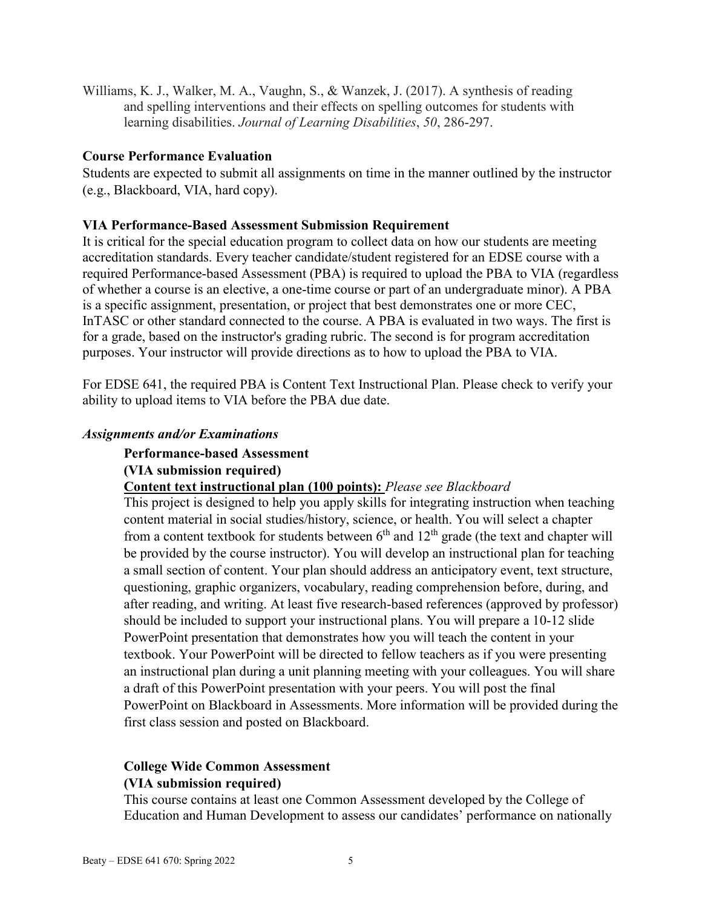Williams, K. J., Walker, M. A., Vaughn, S., & Wanzek, J. (2017). A synthesis of reading and spelling interventions and their effects on spelling outcomes for students with learning disabilities. *Journal of Learning Disabilities*, *50*, 286-297.

#### **Course Performance Evaluation**

Students are expected to submit all assignments on time in the manner outlined by the instructor (e.g., Blackboard, VIA, hard copy).

#### **VIA Performance-Based Assessment Submission Requirement**

It is critical for the special education program to collect data on how our students are meeting accreditation standards. Every teacher candidate/student registered for an EDSE course with a required Performance-based Assessment (PBA) is required to upload the PBA to VIA (regardless of whether a course is an elective, a one-time course or part of an undergraduate minor). A PBA is a specific assignment, presentation, or project that best demonstrates one or more CEC, InTASC or other standard connected to the course. A PBA is evaluated in two ways. The first is for a grade, based on the instructor's grading rubric. The second is for program accreditation purposes. Your instructor will provide directions as to how to upload the PBA to VIA.

For EDSE 641, the required PBA is Content Text Instructional Plan. Please check to verify your ability to upload items to VIA before the PBA due date.

#### *Assignments and/or Examinations*

#### **Performance-based Assessment**

#### **(VIA submission required)**

#### **Content text instructional plan (100 points):** *Please see Blackboard*

This project is designed to help you apply skills for integrating instruction when teaching content material in social studies/history, science, or health. You will select a chapter from a content textbook for students between  $6<sup>th</sup>$  and  $12<sup>th</sup>$  grade (the text and chapter will be provided by the course instructor). You will develop an instructional plan for teaching a small section of content. Your plan should address an anticipatory event, text structure, questioning, graphic organizers, vocabulary, reading comprehension before, during, and after reading, and writing. At least five research-based references (approved by professor) should be included to support your instructional plans. You will prepare a 10-12 slide PowerPoint presentation that demonstrates how you will teach the content in your textbook. Your PowerPoint will be directed to fellow teachers as if you were presenting an instructional plan during a unit planning meeting with your colleagues. You will share a draft of this PowerPoint presentation with your peers. You will post the final PowerPoint on Blackboard in Assessments. More information will be provided during the first class session and posted on Blackboard.

## **College Wide Common Assessment (VIA submission required)**

This course contains at least one Common Assessment developed by the College of Education and Human Development to assess our candidates' performance on nationally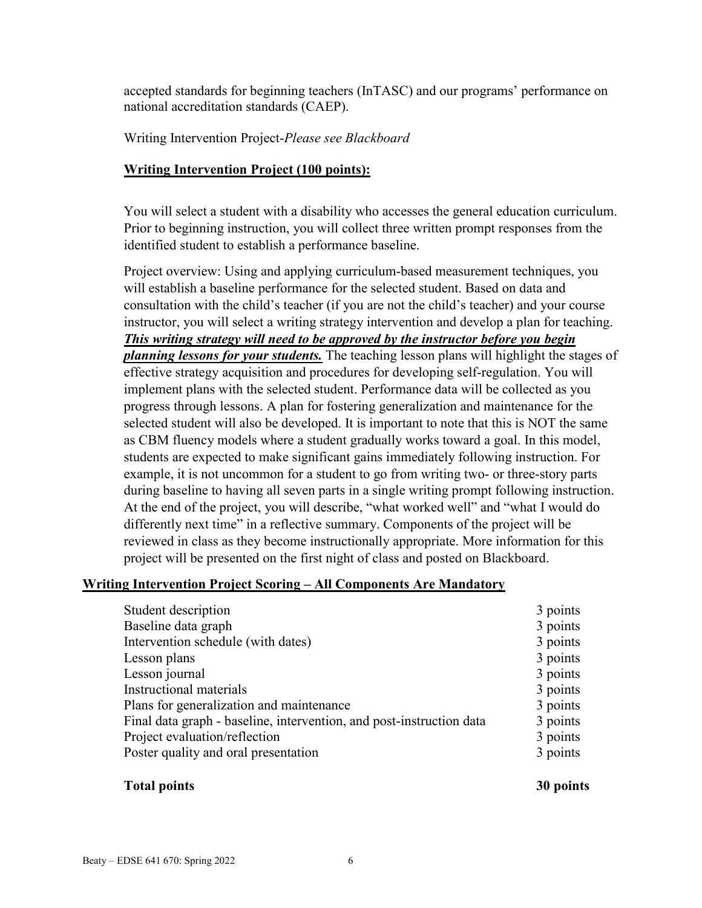accepted standards for beginning teachers (InTASC) and our programs' performance on national accreditation standards (CAEP).

Writing Intervention Project-*Please see Blackboard*

## **Writing Intervention Project (100 points):**

You will select a student with a disability who accesses the general education curriculum. Prior to beginning instruction, you will collect three written prompt responses from the identified student to establish a performance baseline.

Project overview: Using and applying curriculum-based measurement techniques, you will establish a baseline performance for the selected student. Based on data and consultation with the child's teacher (if you are not the child's teacher) and your course instructor, you will select a writing strategy intervention and develop a plan for teaching. *This writing strategy will need to be approved by the instructor before you begin planning lessons for your students.* The teaching lesson plans will highlight the stages of effective strategy acquisition and procedures for developing self-regulation. You will implement plans with the selected student. Performance data will be collected as you progress through lessons. A plan for fostering generalization and maintenance for the selected student will also be developed. It is important to note that this is NOT the same as CBM fluency models where a student gradually works toward a goal. In this model, students are expected to make significant gains immediately following instruction. For example, it is not uncommon for a student to go from writing two- or three-story parts during baseline to having all seven parts in a single writing prompt following instruction. At the end of the project, you will describe, "what worked well" and "what I would do differently next time" in a reflective summary. Components of the project will be reviewed in class as they become instructionally appropriate. More information for this project will be presented on the first night of class and posted on Blackboard.

## **Writing Intervention Project Scoring – All Components Are Mandatory**

| 3 points |
|----------|
| 3 points |
| 3 points |
| 3 points |
| 3 points |
| 3 points |
| 3 points |
| 3 points |
| 3 points |
| 3 points |
|          |

#### **Total points 30 points**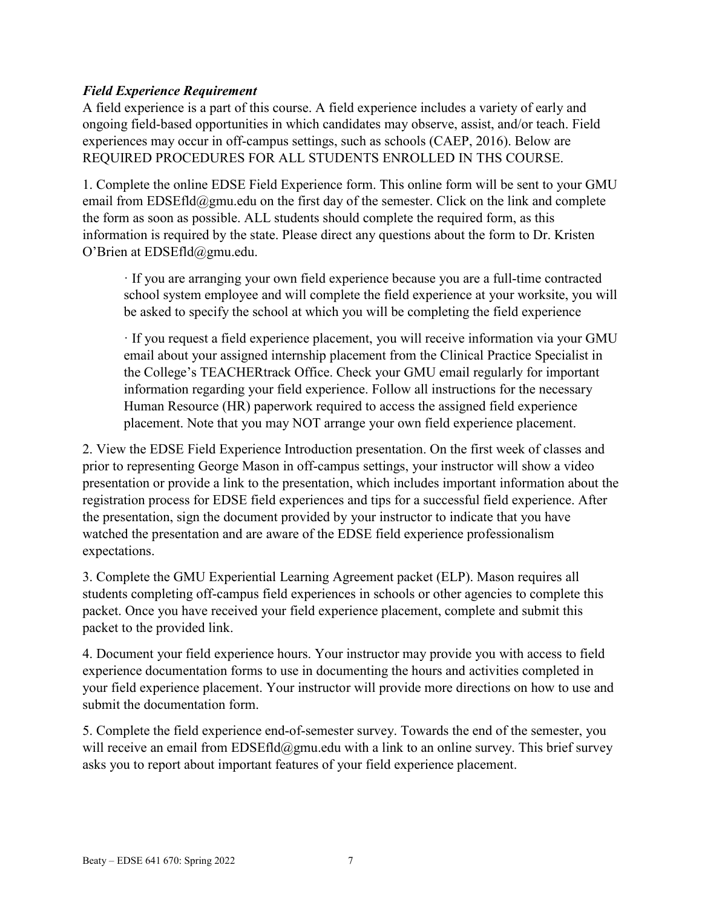## *Field Experience Requirement*

A field experience is a part of this course. A field experience includes a variety of early and ongoing field-based opportunities in which candidates may observe, assist, and/or teach. Field experiences may occur in off-campus settings, such as schools (CAEP, 2016). Below are REQUIRED PROCEDURES FOR ALL STUDENTS ENROLLED IN THS COURSE.

1. Complete the online EDSE Field Experience form. This online form will be sent to your GMU email from  $EDSEfld@gmu.edu$  on the first day of the semester. Click on the link and complete the form as soon as possible. ALL students should complete the required form, as this information is required by the state. Please direct any questions about the form to Dr. Kristen O'Brien at EDSEfld@gmu.edu.

· If you are arranging your own field experience because you are a full-time contracted school system employee and will complete the field experience at your worksite, you will be asked to specify the school at which you will be completing the field experience

· If you request a field experience placement, you will receive information via your GMU email about your assigned internship placement from the Clinical Practice Specialist in the College's TEACHERtrack Office. Check your GMU email regularly for important information regarding your field experience. Follow all instructions for the necessary Human Resource (HR) paperwork required to access the assigned field experience placement. Note that you may NOT arrange your own field experience placement.

2. View the EDSE Field Experience Introduction presentation. On the first week of classes and prior to representing George Mason in off-campus settings, your instructor will show a video presentation or provide a link to the presentation, which includes important information about the registration process for EDSE field experiences and tips for a successful field experience. After the presentation, sign the document provided by your instructor to indicate that you have watched the presentation and are aware of the EDSE field experience professionalism expectations.

3. Complete the GMU Experiential Learning Agreement packet (ELP). Mason requires all students completing off-campus field experiences in schools or other agencies to complete this packet. Once you have received your field experience placement, complete and submit this packet to the provided link.

4. Document your field experience hours. Your instructor may provide you with access to field experience documentation forms to use in documenting the hours and activities completed in your field experience placement. Your instructor will provide more directions on how to use and submit the documentation form.

5. Complete the field experience end-of-semester survey. Towards the end of the semester, you will receive an email from EDSEfld@gmu.edu with a link to an online survey. This brief survey asks you to report about important features of your field experience placement.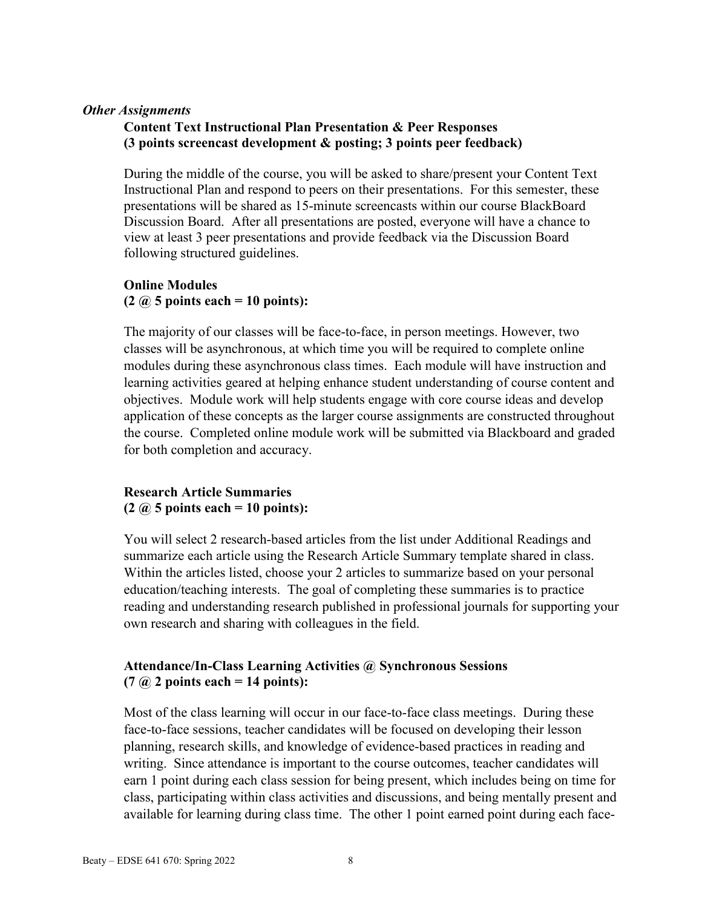#### *Other Assignments*

## **Content Text Instructional Plan Presentation & Peer Responses (3 points screencast development & posting; 3 points peer feedback)**

During the middle of the course, you will be asked to share/present your Content Text Instructional Plan and respond to peers on their presentations. For this semester, these presentations will be shared as 15-minute screencasts within our course BlackBoard Discussion Board. After all presentations are posted, everyone will have a chance to view at least 3 peer presentations and provide feedback via the Discussion Board following structured guidelines.

#### **Online Modules (2 @ 5 points each = 10 points):**

The majority of our classes will be face-to-face, in person meetings. However, two classes will be asynchronous, at which time you will be required to complete online modules during these asynchronous class times. Each module will have instruction and learning activities geared at helping enhance student understanding of course content and objectives. Module work will help students engage with core course ideas and develop application of these concepts as the larger course assignments are constructed throughout the course. Completed online module work will be submitted via Blackboard and graded for both completion and accuracy.

## **Research Article Summaries (2 @ 5 points each = 10 points):**

You will select 2 research-based articles from the list under Additional Readings and summarize each article using the Research Article Summary template shared in class. Within the articles listed, choose your 2 articles to summarize based on your personal education/teaching interests. The goal of completing these summaries is to practice reading and understanding research published in professional journals for supporting your own research and sharing with colleagues in the field.

## **Attendance/In-Class Learning Activities @ Synchronous Sessions (7 @ 2 points each = 14 points):**

Most of the class learning will occur in our face-to-face class meetings. During these face-to-face sessions, teacher candidates will be focused on developing their lesson planning, research skills, and knowledge of evidence-based practices in reading and writing. Since attendance is important to the course outcomes, teacher candidates will earn 1 point during each class session for being present, which includes being on time for class, participating within class activities and discussions, and being mentally present and available for learning during class time. The other 1 point earned point during each face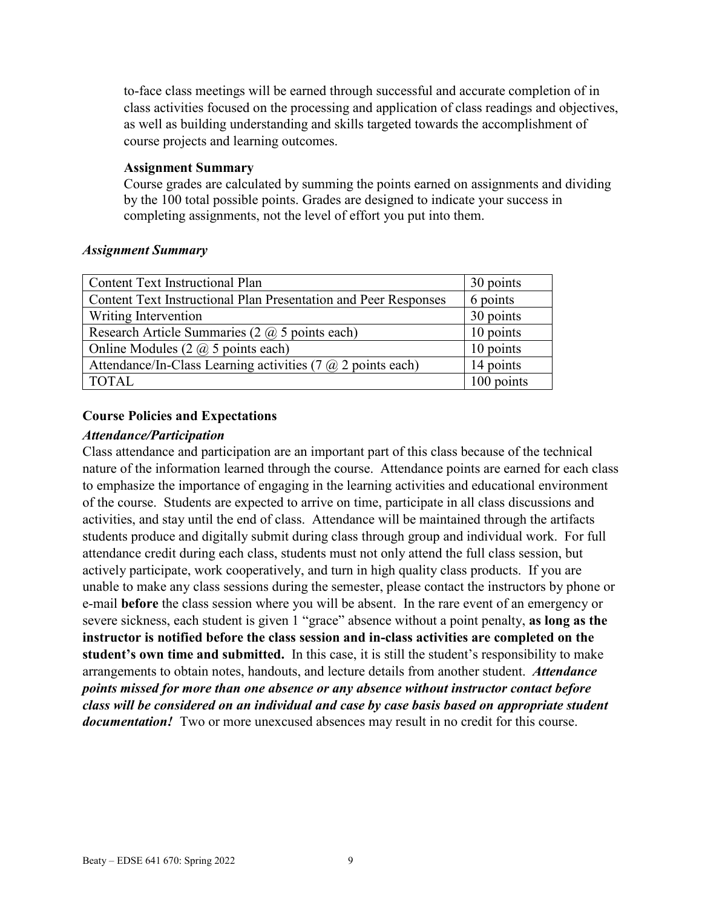to-face class meetings will be earned through successful and accurate completion of in class activities focused on the processing and application of class readings and objectives, as well as building understanding and skills targeted towards the accomplishment of course projects and learning outcomes.

#### **Assignment Summary**

Course grades are calculated by summing the points earned on assignments and dividing by the 100 total possible points. Grades are designed to indicate your success in completing assignments, not the level of effort you put into them.

#### *Assignment Summary*

| <b>Content Text Instructional Plan</b>                               | 30 points  |
|----------------------------------------------------------------------|------------|
| Content Text Instructional Plan Presentation and Peer Responses      | 6 points   |
| Writing Intervention                                                 | 30 points  |
| Research Article Summaries (2 $@$ 5 points each)                     | 10 points  |
| Online Modules $(2 \text{ } (\overline{a}) 5 \text{ points each})$   | 10 points  |
| Attendance/In-Class Learning activities (7 $\omega$ ) 2 points each) | 14 points  |
| <b>TOTAL</b>                                                         | 100 points |

## **Course Policies and Expectations**

## *Attendance/Participation*

Class attendance and participation are an important part of this class because of the technical nature of the information learned through the course. Attendance points are earned for each class to emphasize the importance of engaging in the learning activities and educational environment of the course. Students are expected to arrive on time, participate in all class discussions and activities, and stay until the end of class. Attendance will be maintained through the artifacts students produce and digitally submit during class through group and individual work. For full attendance credit during each class, students must not only attend the full class session, but actively participate, work cooperatively, and turn in high quality class products. If you are unable to make any class sessions during the semester, please contact the instructors by phone or e-mail **before** the class session where you will be absent. In the rare event of an emergency or severe sickness, each student is given 1 "grace" absence without a point penalty, **as long as the instructor is notified before the class session and in-class activities are completed on the student's own time and submitted.** In this case, it is still the student's responsibility to make arrangements to obtain notes, handouts, and lecture details from another student. *Attendance points missed for more than one absence or any absence without instructor contact before class will be considered on an individual and case by case basis based on appropriate student documentation!* Two or more unexcused absences may result in no credit for this course.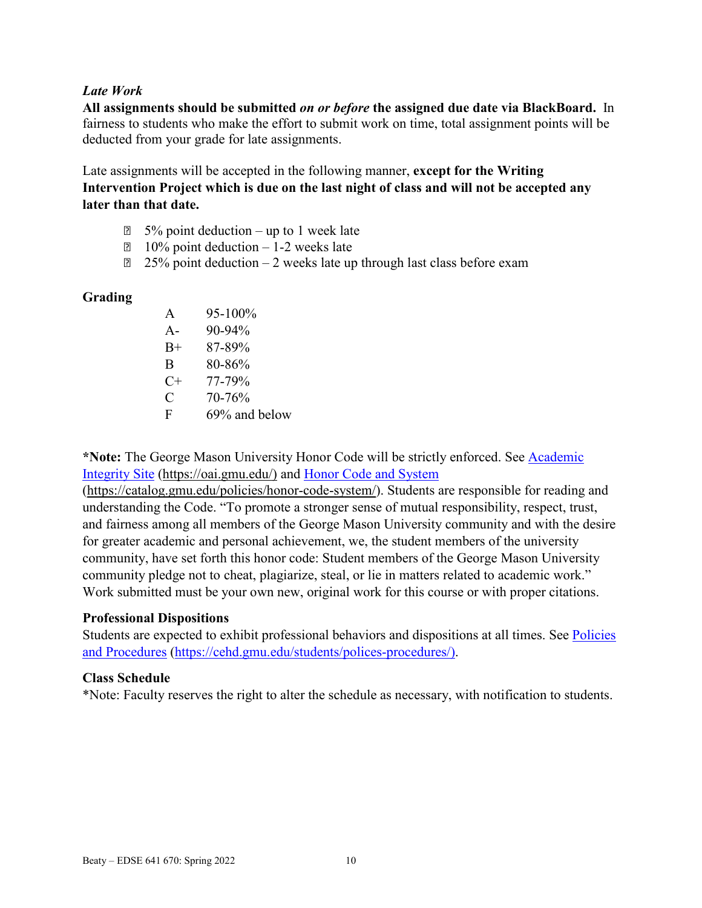## *Late Work*

**All assignments should be submitted** *on or before* **the assigned due date via BlackBoard.** In fairness to students who make the effort to submit work on time, total assignment points will be deducted from your grade for late assignments.

Late assignments will be accepted in the following manner, **except for the Writing Intervention Project which is due on the last night of class and will not be accepted any later than that date.** 

- $\Box$  5% point deduction up to 1 week late
- $\Box$  10% point deduction 1-2 weeks late
- $\sqrt{2}$  25% point deduction 2 weeks late up through last class before exam

## **Grading**

A  $95-100\%$ A-  $90-94\%$ B+ 87-89% B 80-86%  $C+ 77-79\%$  $C = 70-76%$ F 69% and below

**\*Note:** The George Mason University Honor Code will be strictly enforced. See [Academic](https://oai.gmu.edu/)  [Integrity Site](https://oai.gmu.edu/) [\(https://oai.gmu.edu/\)](https://oai.gmu.edu/) and [Honor Code and System](https://catalog.gmu.edu/policies/honor-code-system/)

[\(https://catalog.gmu.edu/policies/honor-code-system/\)](https://catalog.gmu.edu/policies/honor-code-system/). Students are responsible for reading and understanding the Code. "To promote a stronger sense of mutual responsibility, respect, trust, and fairness among all members of the George Mason University community and with the desire for greater academic and personal achievement, we, the student members of the university community, have set forth this honor code: Student members of the George Mason University community pledge not to cheat, plagiarize, steal, or lie in matters related to academic work." Work submitted must be your own new, original work for this course or with proper citations.

#### **Professional Dispositions**

Students are expected to exhibit professional behaviors and dispositions at all times. See Policies [and Procedures](https://cehd.gmu.edu/students/polices-procedures/) [\(https://cehd.gmu.edu/students/polices-procedures/\)](https://cehd.gmu.edu/students/polices-procedures/).

#### **Class Schedule**

\*Note: Faculty reserves the right to alter the schedule as necessary, with notification to students.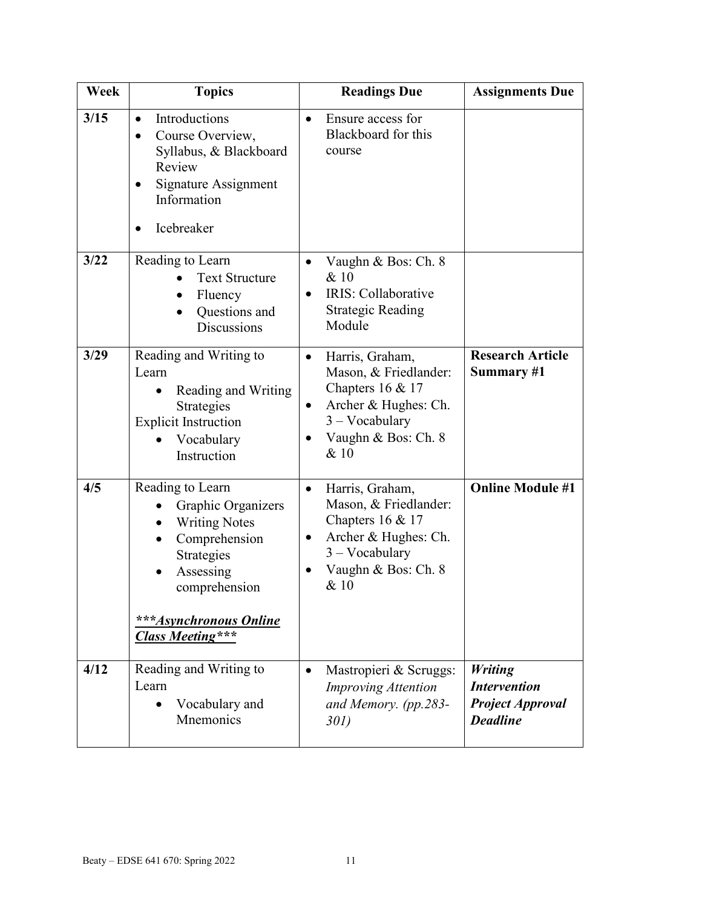| Week | <b>Topics</b>                                                                                                                                                                                              | <b>Readings Due</b>                                                                                                                                    | <b>Assignments Due</b>                                                              |
|------|------------------------------------------------------------------------------------------------------------------------------------------------------------------------------------------------------------|--------------------------------------------------------------------------------------------------------------------------------------------------------|-------------------------------------------------------------------------------------|
| 3/15 | Introductions<br>$\bullet$<br>Course Overview,<br>$\bullet$<br>Syllabus, & Blackboard<br>Review<br>Signature Assignment<br>٠<br>Information<br>Icebreaker                                                  | Ensure access for<br>$\bullet$<br>Blackboard for this<br>course                                                                                        |                                                                                     |
| 3/22 | Reading to Learn<br><b>Text Structure</b><br>Fluency<br>Questions and<br><b>Discussions</b>                                                                                                                | Vaughn & Bos: Ch. 8<br>$\bullet$<br>& 10<br>IRIS: Collaborative<br><b>Strategic Reading</b><br>Module                                                  |                                                                                     |
| 3/29 | Reading and Writing to<br>Learn<br>Reading and Writing<br>Strategies<br><b>Explicit Instruction</b><br>Vocabulary<br>Instruction                                                                           | Harris, Graham,<br>٠<br>Mason, & Friedlander:<br>Chapters $16 & 17$<br>Archer & Hughes: Ch.<br>$3 - Vocabulary$<br>Vaughn & Bos: Ch. 8<br>& 10         | <b>Research Article</b><br>Summary #1                                               |
| 4/5  | Reading to Learn<br>Graphic Organizers<br>$\bullet$<br><b>Writing Notes</b><br>$\bullet$<br>Comprehension<br>Strategies<br>Assessing<br>comprehension<br>***Asynchronous Online<br><b>Class Meeting***</b> | Harris, Graham,<br>$\bullet$<br>Mason, & Friedlander:<br>Chapters $16 & 17$<br>Archer & Hughes: Ch.<br>$3 - Vocabulary$<br>Vaughn & Bos: Ch. 8<br>& 10 | <b>Online Module #1</b>                                                             |
| 4/12 | Reading and Writing to<br>Learn<br>Vocabulary and<br><b>M</b> nemonics                                                                                                                                     | Mastropieri & Scruggs:<br>$\bullet$<br><b>Improving Attention</b><br>and Memory. (pp.283-<br>30I)                                                      | <b>Writing</b><br><b>Intervention</b><br><b>Project Approval</b><br><b>Deadline</b> |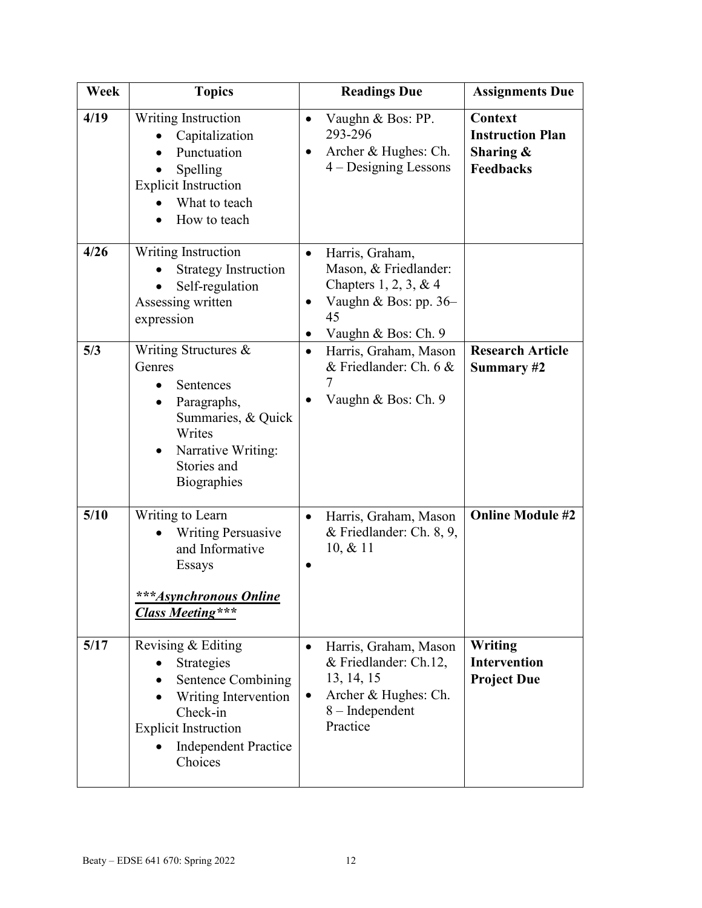| Week | <b>Topics</b>                                                                                                                                                       | <b>Readings Due</b>                                                                                                                                       | <b>Assignments Due</b>                                                 |
|------|---------------------------------------------------------------------------------------------------------------------------------------------------------------------|-----------------------------------------------------------------------------------------------------------------------------------------------------------|------------------------------------------------------------------------|
| 4/19 | Writing Instruction<br>Capitalization<br>Punctuation<br>Spelling<br><b>Explicit Instruction</b><br>What to teach<br>How to teach                                    | Vaughn & Bos: PP.<br>$\bullet$<br>293-296<br>Archer & Hughes: Ch.<br>$\bullet$<br>$4 - Designing$ Lessons                                                 | Context<br><b>Instruction Plan</b><br>Sharing $\&$<br><b>Feedbacks</b> |
| 4/26 | <b>Writing Instruction</b><br><b>Strategy Instruction</b><br>Self-regulation<br>Assessing written<br>expression                                                     | Harris, Graham,<br>$\bullet$<br>Mason, & Friedlander:<br>Chapters $1, 2, 3, \& 4$<br>Vaughn & Bos: pp. 36-<br>$\bullet$<br>45<br>Vaughn & Bos: Ch. 9<br>٠ |                                                                        |
| 5/3  | Writing Structures &<br>Genres<br>Sentences<br>Paragraphs,<br>Summaries, & Quick<br>Writes<br>Narrative Writing:<br>$\bullet$<br>Stories and<br><b>Biographies</b>  | Harris, Graham, Mason<br>$\bullet$<br>& Friedlander: Ch. 6 &<br>7<br>Vaughn & Bos: Ch. 9                                                                  | <b>Research Article</b><br>Summary #2                                  |
| 5/10 | Writing to Learn<br><b>Writing Persuasive</b><br>and Informative<br>Essays<br>***Asynchronous Online<br><b>Class Meeting***</b>                                     | Harris, Graham, Mason<br>$\bullet$<br>& Friedlander: Ch. 8, 9,<br>10, & 11                                                                                | <b>Online Module #2</b>                                                |
| 5/17 | Revising & Editing<br>Strategies<br>Sentence Combining<br>Writing Intervention<br>Check-in<br><b>Explicit Instruction</b><br><b>Independent Practice</b><br>Choices | Harris, Graham, Mason<br>$\bullet$<br>& Friedlander: Ch.12,<br>13, 14, 15<br>Archer & Hughes: Ch.<br>$\bullet$<br>8 - Independent<br>Practice             | Writing<br><b>Intervention</b><br><b>Project Due</b>                   |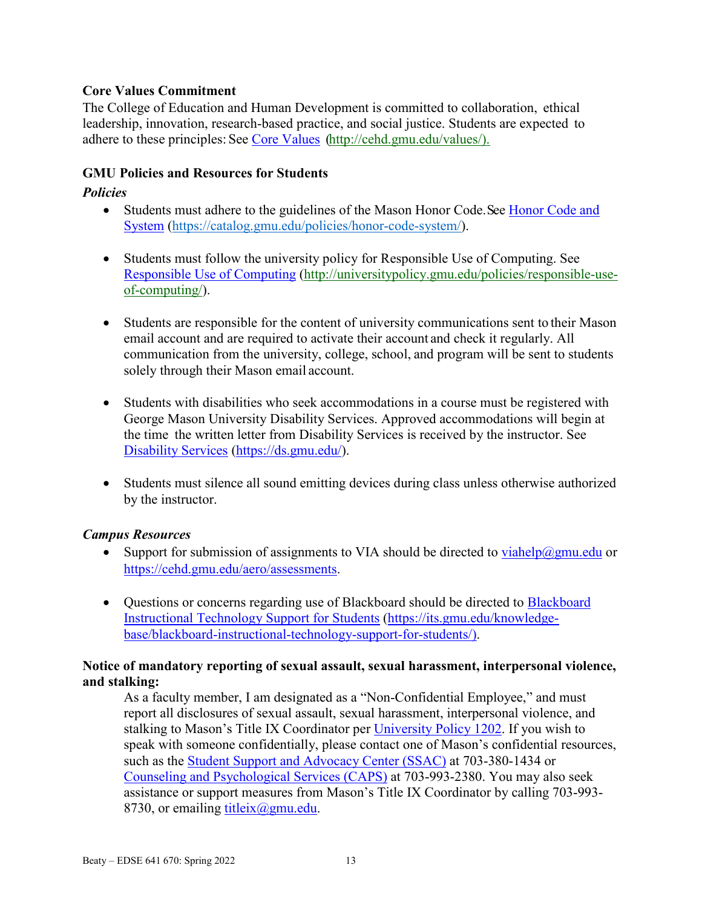## **Core Values Commitment**

The College of Education and Human Development is committed to collaboration, ethical leadership, innovation, research-based practice, and social justice. Students are expected to adhere to these principles: See [Core Values](http://cehd.gmu.edu/values/) [\(http://cehd.gmu.edu/values/\)](http://cehd.gmu.edu/values/).

## **GMU Policies and Resources for Students**

## *Policies*

- Students must adhere to the guidelines of the Mason Honor Code. See Honor Code and [System](https://catalog.gmu.edu/policies/honor-code-system/) [\(https://catalog.gmu.edu/policies/honor-code-system/\)](https://catalog.gmu.edu/policies/honor-code-system/).
- Students must follow the university policy for Responsible Use of Computing. See [Responsible Use of Computing](http://universitypolicy.gmu.edu/policies/responsible-use-of-computing/) [\(http://universitypolicy.gmu.edu/policies/responsible-use](http://universitypolicy.gmu.edu/policies/responsible-use-of-computing/)[of-computing/\)](http://universitypolicy.gmu.edu/policies/responsible-use-of-computing/).
- Students are responsible for the content of university communications sent to their Mason email account and are required to activate their account and check it regularly. All communication from the university, college, school, and program will be sent to students solely through their Mason email account.
- Students with disabilities who seek accommodations in a course must be registered with George Mason University Disability Services. Approved accommodations will begin at the time the written letter from Disability Services is received by the instructor. See [Disability Services](https://ds.gmu.edu/) [\(https://ds.gmu.edu/\)](https://ds.gmu.edu/).
- Students must silence all sound emitting devices during class unless otherwise authorized by the instructor.

## *Campus Resources*

- Support for submission of assignments to VIA should be directed to  $viahelp@gmu.edu$  or</u> [https://cehd.gmu.edu/aero/assessments.](https://cehd.gmu.edu/aero/assessments)
- Questions or concerns regarding use of [Blackboard](https://its.gmu.edu/knowledge-base/blackboard-instructional-technology-support-for-students/) should be directed to Blackboard [Instructional Technology Support for Students](https://its.gmu.edu/knowledge-base/blackboard-instructional-technology-support-for-students/) [\(https://its.gmu.edu/knowledge](https://its.gmu.edu/knowledge-base/blackboard-instructional-technology-support-for-students/)[base/blackboard-instructional-technology-support-for-students/\)](https://its.gmu.edu/knowledge-base/blackboard-instructional-technology-support-for-students/).

## **Notice of mandatory reporting of sexual assault, sexual harassment, interpersonal violence, and stalking:**

As a faculty member, I am designated as a "Non-Confidential Employee," and must report all disclosures of sexual assault, sexual harassment, interpersonal violence, and stalking to Mason's Title IX Coordinator per [University Policy 1202.](https://universitypolicy.gmu.edu/policies/sexual-harassment-policy/) If you wish to speak with someone confidentially, please contact one of Mason's confidential resources, such as the **Student Support and Advocacy Center (SSAC)** at 703-380-1434 or [Counseling and Psychological Services \(CAPS\)](https://caps.gmu.edu/) at 703-993-2380. You may also seek assistance or support measures from Mason's Title IX Coordinator by calling 703-993 8730, or emailing [titleix@gmu.edu.](mailto:titleix@gmu.edu)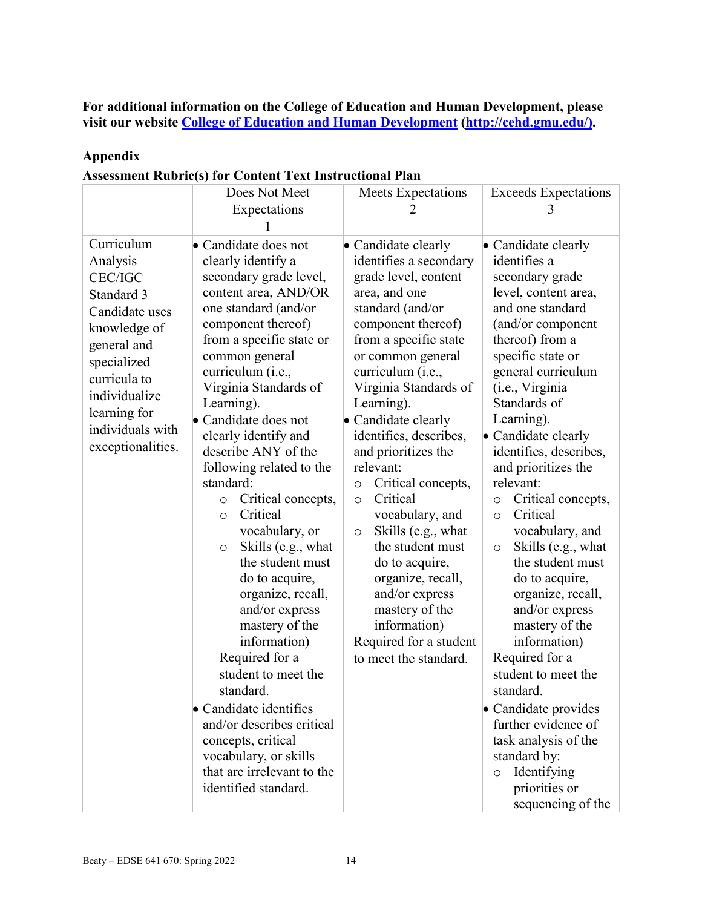**For additional information on the College of Education and Human Development, please visit our website [College of Education and Human Development](http://cehd.gmu.edu/) [\(http://cehd.gmu.edu/\)](https://cehd.gmu.edu/).**

## **Appendix**

|  |  | <b>Assessment Rubric(s) for Content Text Instructional Plan</b> |
|--|--|-----------------------------------------------------------------|
|  |  |                                                                 |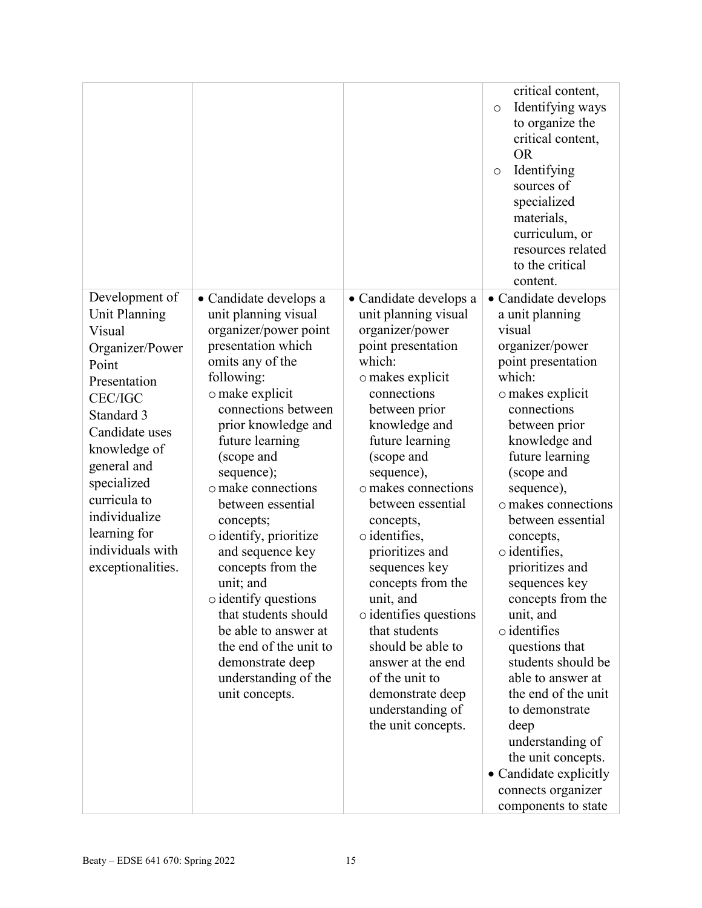|                              |                                            |                                        | critical content,<br>Identifying ways<br>$\circ$<br>to organize the<br>critical content,<br><b>OR</b><br>Identifying<br>$\circ$<br>sources of<br>specialized<br>materials,<br>curriculum, or<br>resources related<br>to the critical<br>content. |
|------------------------------|--------------------------------------------|----------------------------------------|--------------------------------------------------------------------------------------------------------------------------------------------------------------------------------------------------------------------------------------------------|
| Development of               | • Candidate develops a                     | • Candidate develops a                 | · Candidate develops                                                                                                                                                                                                                             |
| <b>Unit Planning</b>         | unit planning visual                       | unit planning visual                   | a unit planning                                                                                                                                                                                                                                  |
| Visual                       | organizer/power point                      | organizer/power                        | visual                                                                                                                                                                                                                                           |
| Organizer/Power              | presentation which<br>omits any of the     | point presentation<br>which:           | organizer/power                                                                                                                                                                                                                                  |
| Point                        | following:                                 | o makes explicit                       | point presentation<br>which:                                                                                                                                                                                                                     |
| Presentation                 | o make explicit                            | connections                            | o makes explicit                                                                                                                                                                                                                                 |
| <b>CEC/IGC</b>               | connections between                        | between prior                          | connections                                                                                                                                                                                                                                      |
| Standard 3<br>Candidate uses | prior knowledge and                        | knowledge and                          | between prior                                                                                                                                                                                                                                    |
|                              | future learning                            | future learning                        | knowledge and                                                                                                                                                                                                                                    |
| knowledge of                 | (scope and                                 | (scope and                             | future learning                                                                                                                                                                                                                                  |
| general and<br>specialized   | sequence);                                 | sequence),                             | (scope and                                                                                                                                                                                                                                       |
| curricula to                 | o make connections                         | o makes connections                    | sequence),                                                                                                                                                                                                                                       |
| individualize                | between essential                          | between essential                      | o makes connections                                                                                                                                                                                                                              |
| learning for                 | concepts;                                  | concepts,<br>$\circ$ identifies,       | between essential                                                                                                                                                                                                                                |
| individuals with             | o identify, prioritize<br>and sequence key | prioritizes and                        | concepts,<br>$\circ$ identifies,                                                                                                                                                                                                                 |
| exceptionalities.            | concepts from the                          | sequences key                          | prioritizes and                                                                                                                                                                                                                                  |
|                              | unit; and                                  | concepts from the                      | sequences key                                                                                                                                                                                                                                    |
|                              | $\circ$ identify questions                 | unit, and                              | concepts from the                                                                                                                                                                                                                                |
|                              | that students should                       | $\circ$ identifies questions           | unit, and                                                                                                                                                                                                                                        |
|                              | be able to answer at                       | that students                          | $\circ$ identifies                                                                                                                                                                                                                               |
|                              | the end of the unit to                     | should be able to                      | questions that                                                                                                                                                                                                                                   |
|                              | demonstrate deep                           | answer at the end                      | students should be                                                                                                                                                                                                                               |
|                              | understanding of the                       | of the unit to                         | able to answer at                                                                                                                                                                                                                                |
|                              | unit concepts.                             | demonstrate deep                       | the end of the unit                                                                                                                                                                                                                              |
|                              |                                            | understanding of<br>the unit concepts. | to demonstrate<br>deep                                                                                                                                                                                                                           |
|                              |                                            |                                        | understanding of                                                                                                                                                                                                                                 |
|                              |                                            |                                        | the unit concepts.                                                                                                                                                                                                                               |
|                              |                                            |                                        | • Candidate explicitly                                                                                                                                                                                                                           |
|                              |                                            |                                        | connects organizer                                                                                                                                                                                                                               |
|                              |                                            |                                        | components to state                                                                                                                                                                                                                              |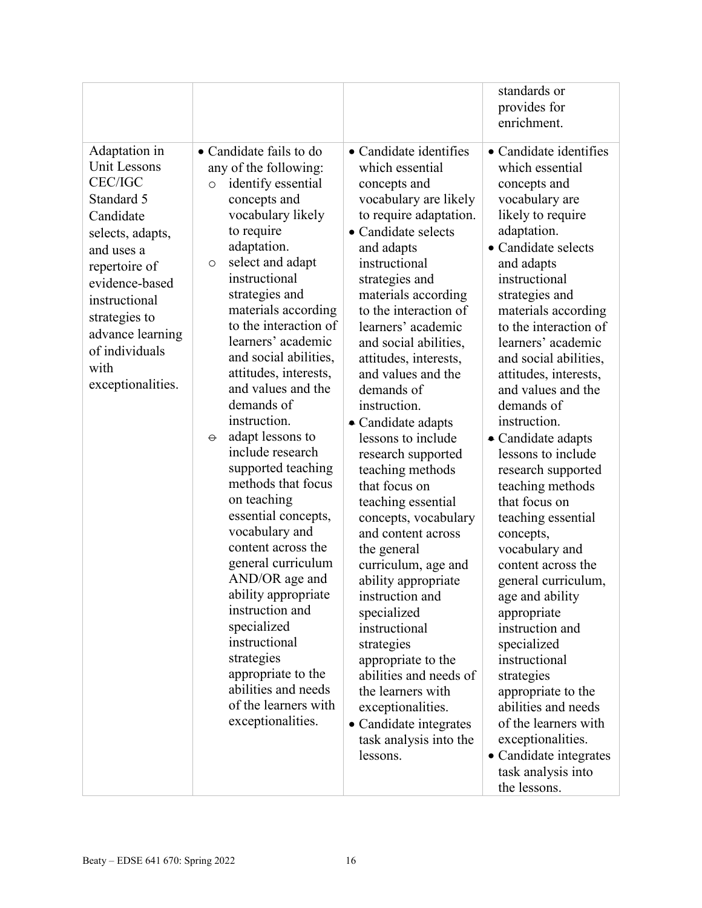|                                                                                                                                                                                                                                                      |                                                                                                                                                                                                                                                                                                                                                                                                                                                                                                                                                                                                                                                                                                                                                                                                     |                                                                                                                                                                                                                                                                                                                                                                                                                                                                                                                                                                                                                                                                                                                                                                                                                                     | standards or<br>provides for<br>enrichment.                                                                                                                                                                                                                                                                                                                                                                                                                                                                                                                                                                                                                                                                                                                                                                                               |
|------------------------------------------------------------------------------------------------------------------------------------------------------------------------------------------------------------------------------------------------------|-----------------------------------------------------------------------------------------------------------------------------------------------------------------------------------------------------------------------------------------------------------------------------------------------------------------------------------------------------------------------------------------------------------------------------------------------------------------------------------------------------------------------------------------------------------------------------------------------------------------------------------------------------------------------------------------------------------------------------------------------------------------------------------------------------|-------------------------------------------------------------------------------------------------------------------------------------------------------------------------------------------------------------------------------------------------------------------------------------------------------------------------------------------------------------------------------------------------------------------------------------------------------------------------------------------------------------------------------------------------------------------------------------------------------------------------------------------------------------------------------------------------------------------------------------------------------------------------------------------------------------------------------------|-------------------------------------------------------------------------------------------------------------------------------------------------------------------------------------------------------------------------------------------------------------------------------------------------------------------------------------------------------------------------------------------------------------------------------------------------------------------------------------------------------------------------------------------------------------------------------------------------------------------------------------------------------------------------------------------------------------------------------------------------------------------------------------------------------------------------------------------|
| Adaptation in<br>Unit Lessons<br><b>CEC/IGC</b><br>Standard 5<br>Candidate<br>selects, adapts,<br>and uses a<br>repertoire of<br>evidence-based<br>instructional<br>strategies to<br>advance learning<br>of individuals<br>with<br>exceptionalities. | • Candidate fails to do<br>any of the following:<br>identify essential<br>$\circ$<br>concepts and<br>vocabulary likely<br>to require<br>adaptation.<br>select and adapt<br>O<br>instructional<br>strategies and<br>materials according<br>to the interaction of<br>learners' academic<br>and social abilities,<br>attitudes, interests,<br>and values and the<br>demands of<br>instruction.<br>adapt lessons to<br>$\Theta$<br>include research<br>supported teaching<br>methods that focus<br>on teaching<br>essential concepts,<br>vocabulary and<br>content across the<br>general curriculum<br>AND/OR age and<br>ability appropriate<br>instruction and<br>specialized<br>instructional<br>strategies<br>appropriate to the<br>abilities and needs<br>of the learners with<br>exceptionalities. | • Candidate identifies<br>which essential<br>concepts and<br>vocabulary are likely<br>to require adaptation.<br>• Candidate selects<br>and adapts<br>instructional<br>strategies and<br>materials according<br>to the interaction of<br>learners' academic<br>and social abilities,<br>attitudes, interests,<br>and values and the<br>demands of<br>instruction.<br>• Candidate adapts<br>lessons to include<br>research supported<br>teaching methods<br>that focus on<br>teaching essential<br>concepts, vocabulary<br>and content across<br>the general<br>curriculum, age and<br>ability appropriate<br>instruction and<br>specialized<br>instructional<br>strategies<br>appropriate to the<br>abilities and needs of<br>the learners with<br>exceptionalities.<br>• Candidate integrates<br>task analysis into the<br>lessons. | • Candidate identifies<br>which essential<br>concepts and<br>vocabulary are<br>likely to require<br>adaptation.<br>• Candidate selects<br>and adapts<br>instructional<br>strategies and<br>materials according<br>to the interaction of<br>learners' academic<br>and social abilities,<br>attitudes, interests,<br>and values and the<br>demands of<br>instruction.<br>• Candidate adapts<br>lessons to include<br>research supported<br>teaching methods<br>that focus on<br>teaching essential<br>concepts,<br>vocabulary and<br>content across the<br>general curriculum,<br>age and ability<br>appropriate<br>instruction and<br>specialized<br>instructional<br>strategies<br>appropriate to the<br>abilities and needs<br>of the learners with<br>exceptionalities.<br>• Candidate integrates<br>task analysis into<br>the lessons. |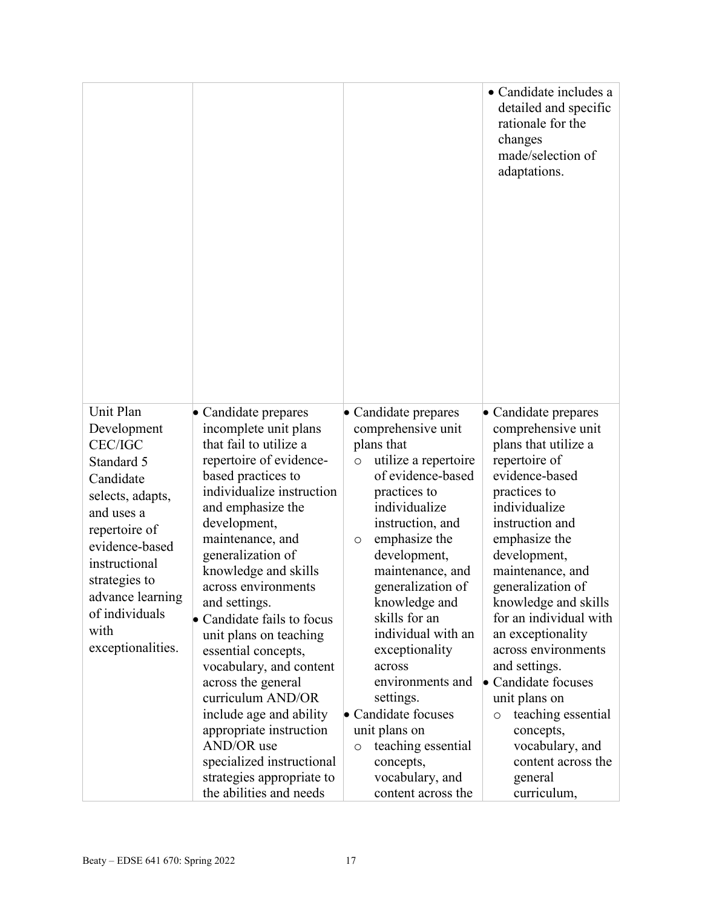|                                |                                                        |                                                      | • Candidate includes a<br>detailed and specific<br>rationale for the<br>changes<br>made/selection of<br>adaptations. |
|--------------------------------|--------------------------------------------------------|------------------------------------------------------|----------------------------------------------------------------------------------------------------------------------|
| Unit Plan<br>Development       | Candidate prepares<br>incomplete unit plans            | $\bullet$ Candidate prepares<br>comprehensive unit   | • Candidate prepares<br>comprehensive unit                                                                           |
| <b>CEC/IGC</b>                 | that fail to utilize a                                 | plans that                                           | plans that utilize a                                                                                                 |
| Standard 5                     | repertoire of evidence-                                | utilize a repertoire<br>$\circ$<br>of evidence-based | repertoire of<br>evidence-based                                                                                      |
| Candidate                      | based practices to<br>individualize instruction        | practices to                                         | practices to                                                                                                         |
| selects, adapts,               | and emphasize the                                      | individualize                                        | individualize                                                                                                        |
| and uses a                     | development,                                           | instruction, and                                     | instruction and                                                                                                      |
| repertoire of                  | maintenance, and                                       | emphasize the<br>$\circ$                             | emphasize the                                                                                                        |
| evidence-based                 | generalization of                                      | development,                                         | development,                                                                                                         |
| instructional<br>strategies to | knowledge and skills                                   | maintenance, and                                     | maintenance, and                                                                                                     |
| advance learning               | across environments                                    | generalization of                                    | generalization of                                                                                                    |
| of individuals                 | and settings.                                          | knowledge and<br>skills for an                       | knowledge and skills                                                                                                 |
| with                           | Candidate fails to focus<br>unit plans on teaching     | individual with an                                   | for an individual with<br>an exceptionality                                                                          |
| exceptionalities.              | essential concepts,                                    | exceptionality                                       | across environments                                                                                                  |
|                                | vocabulary, and content                                | across                                               | and settings.                                                                                                        |
|                                | across the general                                     | environments and                                     | Candidate focuses                                                                                                    |
|                                | curriculum AND/OR                                      | settings.                                            | unit plans on                                                                                                        |
|                                | include age and ability                                | • Candidate focuses                                  | teaching essential<br>$\circ$                                                                                        |
|                                | appropriate instruction                                | unit plans on                                        | concepts,                                                                                                            |
|                                | AND/OR use                                             | teaching essential<br>$\circ$                        | vocabulary, and                                                                                                      |
|                                | specialized instructional<br>strategies appropriate to | concepts,<br>vocabulary, and                         | content across the<br>general                                                                                        |
|                                |                                                        |                                                      |                                                                                                                      |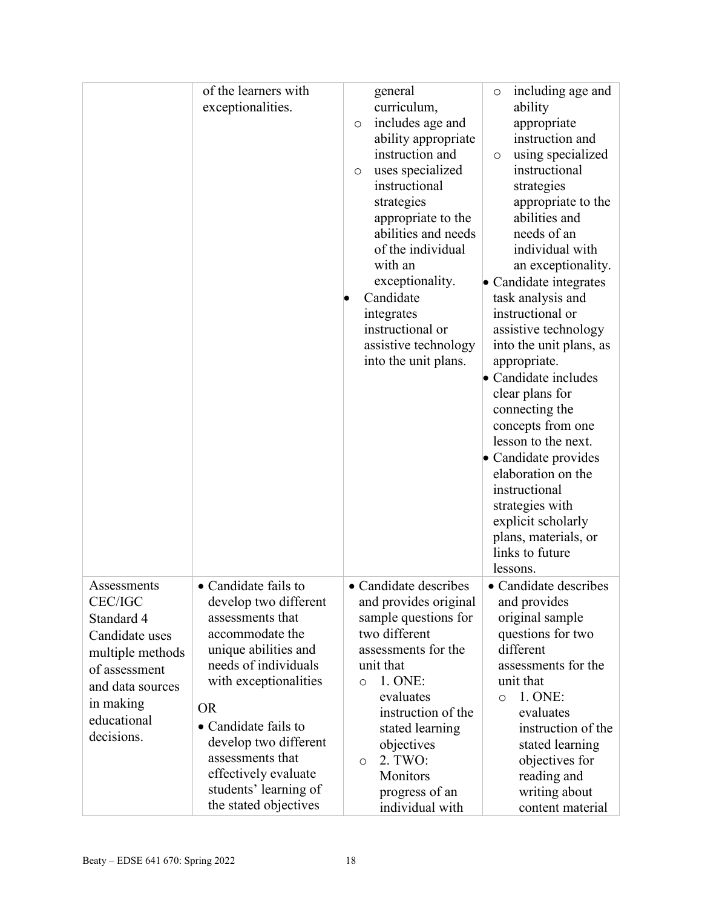|                  | of the learners with  | general               | including age and<br>O                     |
|------------------|-----------------------|-----------------------|--------------------------------------------|
|                  | exceptionalities.     | curriculum,           | ability                                    |
|                  |                       | includes age and<br>O | appropriate                                |
|                  |                       | ability appropriate   | instruction and                            |
|                  |                       | instruction and       | using specialized<br>$\circ$               |
|                  |                       | uses specialized<br>O | instructional                              |
|                  |                       | instructional         | strategies                                 |
|                  |                       | strategies            | appropriate to the                         |
|                  |                       | appropriate to the    | abilities and                              |
|                  |                       | abilities and needs   | needs of an                                |
|                  |                       | of the individual     | individual with                            |
|                  |                       | with an               | an exceptionality.                         |
|                  |                       | exceptionality.       | • Candidate integrates                     |
|                  |                       | Candidate             | task analysis and                          |
|                  |                       | integrates            | instructional or                           |
|                  |                       | instructional or      | assistive technology                       |
|                  |                       | assistive technology  | into the unit plans, as                    |
|                  |                       | into the unit plans.  | appropriate.                               |
|                  |                       |                       | Candidate includes                         |
|                  |                       |                       | clear plans for                            |
|                  |                       |                       | connecting the                             |
|                  |                       |                       | concepts from one                          |
|                  |                       |                       | lesson to the next.                        |
|                  |                       |                       | • Candidate provides<br>elaboration on the |
|                  |                       |                       | instructional                              |
|                  |                       |                       | strategies with                            |
|                  |                       |                       | explicit scholarly                         |
|                  |                       |                       | plans, materials, or                       |
|                  |                       |                       | links to future                            |
|                  |                       |                       | lessons.                                   |
| Assessments      | • Candidate fails to  | • Candidate describes | • Candidate describes                      |
| <b>CEC/IGC</b>   | develop two different | and provides original | and provides                               |
| Standard 4       | assessments that      | sample questions for  | original sample                            |
| Candidate uses   | accommodate the       | two different         | questions for two                          |
| multiple methods | unique abilities and  | assessments for the   | different                                  |
| of assessment    | needs of individuals  | unit that             | assessments for the                        |
| and data sources | with exceptionalities | 1. ONE:<br>$\circ$    | unit that                                  |
|                  |                       | evaluates             | 1. ONE:<br>$\circ$                         |
| in making        | <b>OR</b>             | instruction of the    | evaluates                                  |
| educational      | • Candidate fails to  | stated learning       | instruction of the                         |
| decisions.       | develop two different | objectives            | stated learning                            |
|                  | assessments that      | 2. TWO:<br>$\circ$    | objectives for                             |
|                  | effectively evaluate  | Monitors              | reading and                                |
|                  | students' learning of | progress of an        | writing about                              |
|                  | the stated objectives | individual with       | content material                           |